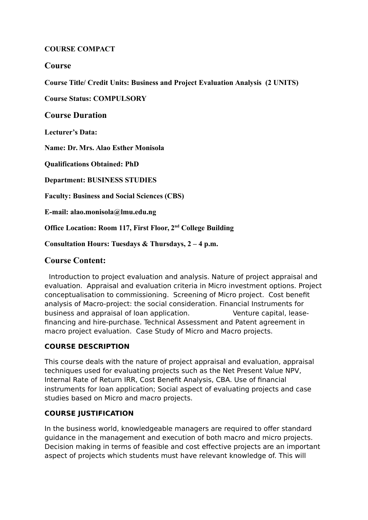### **COURSE COMPACT**

# **Course**

**Course Title/ Credit Units: Business and Project Evaluation Analysis (2 UNITS)**

**Course Status: COMPULSORY**

### **Course Duration**

**Lecturer's Data:** 

**Name: Dr. Mrs. Alao Esther Monisola**

**Qualifications Obtained: PhD**

**Department: BUSINESS STUDIES**

**Faculty: Business and Social Sciences (CBS)**

**E-mail: alao.monisola@lmu.edu.ng**

**Office Location: Room 117, First Floor, 2nd College Building**

**Consultation Hours: Tuesdays & Thursdays, 2 – 4 p.m.** 

# **Course Content:**

 Introduction to project evaluation and analysis. Nature of project appraisal and evaluation. Appraisal and evaluation criteria in Micro investment options. Project conceptualisation to commissioning. Screening of Micro project. Cost benefit analysis of Macro-project: the social consideration. Financial Instruments for business and appraisal of loan application. Venture capital, leasefinancing and hire-purchase. Technical Assessment and Patent agreement in macro project evaluation. Case Study of Micro and Macro projects.

# **COURSE DESCRIPTION**

This course deals with the nature of project appraisal and evaluation, appraisal techniques used for evaluating projects such as the Net Present Value NPV, Internal Rate of Return IRR, Cost Benefit Analysis, CBA. Use of financial instruments for loan application; Social aspect of evaluating projects and case studies based on Micro and macro projects.

# **COURSE JUSTIFICATION**

In the business world, knowledgeable managers are required to offer standard guidance in the management and execution of both macro and micro projects. Decision making in terms of feasible and cost effective projects are an important aspect of projects which students must have relevant knowledge of. This will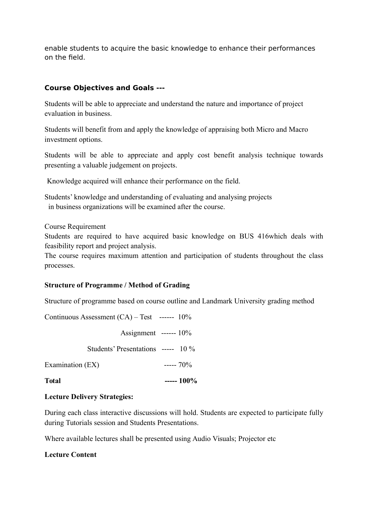enable students to acquire the basic knowledge to enhance their performances on the field.

# **Course Objectives and Goals ---**

Students will be able to appreciate and understand the nature and importance of project evaluation in business.

Students will benefit from and apply the knowledge of appraising both Micro and Macro investment options.

Students will be able to appreciate and apply cost benefit analysis technique towards presenting a valuable judgement on projects.

Knowledge acquired will enhance their performance on the field.

Students' knowledge and understanding of evaluating and analysing projects in business organizations will be examined after the course.

Course Requirement

Students are required to have acquired basic knowledge on BUS 416which deals with feasibility report and project analysis.

The course requires maximum attention and participation of students throughout the class processes.

# **Structure of Programme / Method of Grading**

Structure of programme based on course outline and Landmark University grading method

Continuous Assessment (CA) – Test ------ 10%

 Assignment ------ 10% Students' Presentations ----- 10 % Examination  $(EX)$  -----  $70\%$ **Total ----- 100%**

### **Lecture Delivery Strategies:**

During each class interactive discussions will hold. Students are expected to participate fully during Tutorials session and Students Presentations.

Where available lectures shall be presented using Audio Visuals; Projector etc

# **Lecture Content**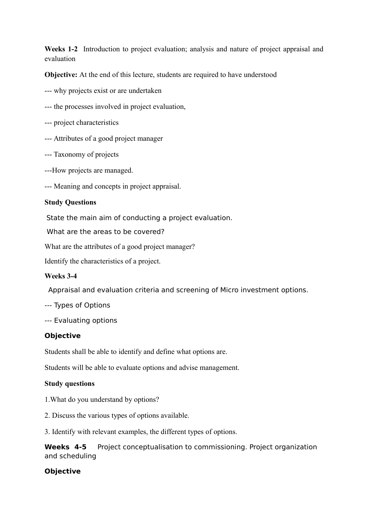**Weeks 1-2** Introduction to project evaluation; analysis and nature of project appraisal and evaluation

**Objective:** At the end of this lecture, students are required to have understood

- --- why projects exist or are undertaken
- --- the processes involved in project evaluation,
- --- project characteristics
- --- Attributes of a good project manager
- --- Taxonomy of projects
- ---How projects are managed.
- --- Meaning and concepts in project appraisal.

#### **Study Questions**

State the main aim of conducting a project evaluation.

What are the areas to be covered?

What are the attributes of a good project manager?

Identify the characteristics of a project.

#### **Weeks 3-4**

Appraisal and evaluation criteria and screening of Micro investment options.

- --- Types of Options
- --- Evaluating options

### **Objective**

Students shall be able to identify and define what options are.

Students will be able to evaluate options and advise management.

#### **Study questions**

- 1.What do you understand by options?
- 2. Discuss the various types of options available.

3. Identify with relevant examples, the different types of options.

**Weeks 4-5** Project conceptualisation to commissioning. Project organization and scheduling

### **Objective**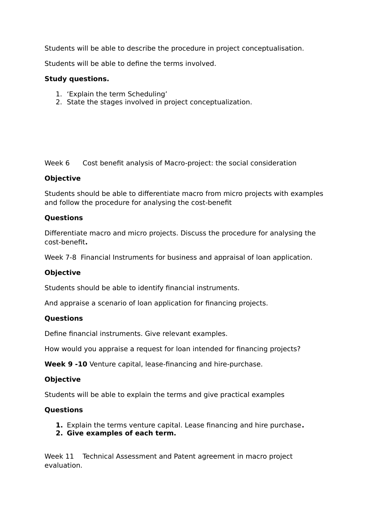Students will be able to describe the procedure in project conceptualisation.

Students will be able to define the terms involved.

### **Study questions.**

- 1. 'Explain the term Scheduling'
- 2. State the stages involved in project conceptualization.

Week 6 Cost benefit analysis of Macro-project: the social consideration

### **Objective**

Students should be able to differentiate macro from micro projects with examples and follow the procedure for analysing the cost-benefit

### **Questions**

Differentiate macro and micro projects. Discuss the procedure for analysing the cost-benefit**.**

Week 7-8 Financial Instruments for business and appraisal of loan application.

# **Objective**

Students should be able to identify financial instruments.

And appraise a scenario of loan application for financing projects.

# **Questions**

Define financial instruments. Give relevant examples.

How would you appraise a request for loan intended for financing projects?

**Week 9 -10** Venture capital, lease-financing and hire-purchase.

### **Objective**

Students will be able to explain the terms and give practical examples

### **Questions**

- **1.** Explain the terms venture capital. Lease financing and hire purchase**.**
- **2. Give examples of each term.**

Week 11 Technical Assessment and Patent agreement in macro project evaluation.